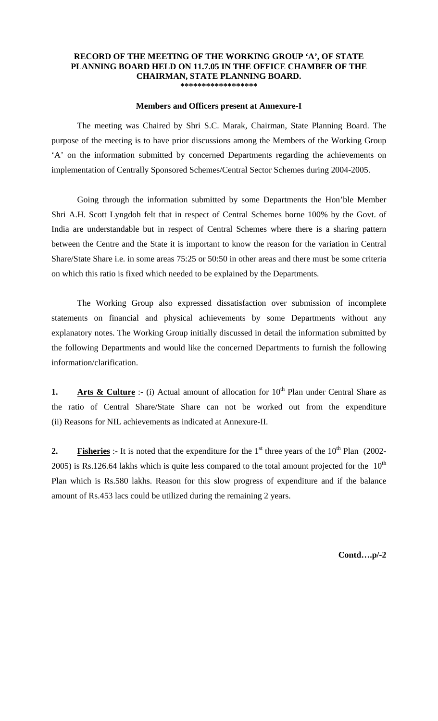## **RECORD OF THE MEETING OF THE WORKING GROUP 'A', OF STATE PLANNING BOARD HELD ON 11.7.05 IN THE OFFICE CHAMBER OF THE CHAIRMAN, STATE PLANNING BOARD. \*\*\*\*\*\*\*\*\*\*\*\*\*\*\*\*\*\***

## **Members and Officers present at Annexure-I**

 The meeting was Chaired by Shri S.C. Marak, Chairman, State Planning Board. The purpose of the meeting is to have prior discussions among the Members of the Working Group 'A' on the information submitted by concerned Departments regarding the achievements on implementation of Centrally Sponsored Schemes/Central Sector Schemes during 2004-2005.

 Going through the information submitted by some Departments the Hon'ble Member Shri A.H. Scott Lyngdoh felt that in respect of Central Schemes borne 100% by the Govt. of India are understandable but in respect of Central Schemes where there is a sharing pattern between the Centre and the State it is important to know the reason for the variation in Central Share/State Share i.e. in some areas 75:25 or 50:50 in other areas and there must be some criteria on which this ratio is fixed which needed to be explained by the Departments.

 The Working Group also expressed dissatisfaction over submission of incomplete statements on financial and physical achievements by some Departments without any explanatory notes. The Working Group initially discussed in detail the information submitted by the following Departments and would like the concerned Departments to furnish the following information/clarification.

**1. Arts & Culture** :- (i) Actual amount of allocation for  $10<sup>th</sup>$  Plan under Central Share as the ratio of Central Share/State Share can not be worked out from the expenditure (ii) Reasons for NIL achievements as indicated at Annexure-II.

**2. Fisheries** :- It is noted that the expenditure for the  $1<sup>st</sup>$  three years of the  $10<sup>th</sup>$  Plan (2002-2005) is Rs.126.64 lakhs which is quite less compared to the total amount projected for the  $10<sup>th</sup>$ Plan which is Rs.580 lakhs. Reason for this slow progress of expenditure and if the balance amount of Rs.453 lacs could be utilized during the remaining 2 years.

**Contd….p/-2**